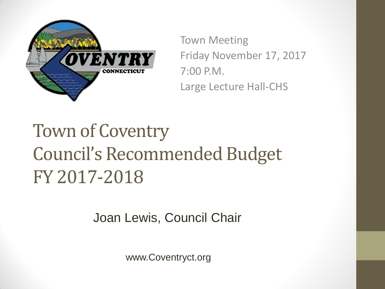

Town Meeting Friday November 17, 2017 7:00 P.M. Large Lecture Hall-CHS

### Town of Coventry Council's Recommended Budget FY 2017-2018

Joan Lewis, Council Chair

www.Coventryct.org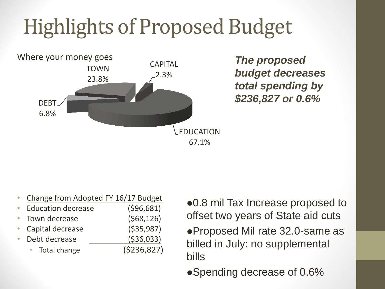## Highlights of Proposed Budget



*The proposed budget decreases total spending by \$236,827 or 0.6%*

|                           | Change from Adopted FY 16/17 Budget |
|---------------------------|-------------------------------------|
| <b>Education decrease</b> | (596, 681)                          |
| Town decrease             | (568, 126)                          |
| Capital decrease          | ( \$35, 987)                        |
| Debt decrease             | ( \$36,033)                         |
| Total change              | (5236, 827)                         |
|                           |                                     |

- 0.8 mil Tax Increase proposed to offset two years of State aid cuts
- Proposed Mil rate 32.0-same as billed in July: no supplemental bills
- Spending decrease of 0.6%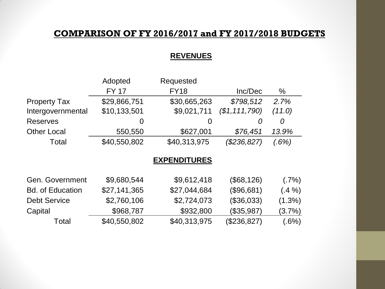#### **COMPARISON OF FY 2016/2017 and FY 2017/2018 BUDGETS**

#### **REVENUES**

|                         | Adopted      | Requested           |                 |           |
|-------------------------|--------------|---------------------|-----------------|-----------|
|                         | <b>FY 17</b> | <b>FY18</b>         | Inc/Dec         | $\%$      |
| <b>Property Tax</b>     | \$29,866,751 | \$30,665,263        | \$798,512       | 2.7%      |
| Intergovernmental       | \$10,133,501 | \$9,021,711         | (\$1, 111, 790) | (11.0)    |
| <b>Reserves</b>         | 0            | 0                   | 0               | 0         |
| <b>Other Local</b>      | 550,550      | \$627,001           | \$76,451        | 13.9%     |
| Total                   | \$40,550,802 | \$40,313,975        | (\$236,827)     | (.6%)     |
|                         |              | <b>EXPENDITURES</b> |                 |           |
|                         |              |                     |                 |           |
| Gen. Government         | \$9,680,544  | \$9,612,418         | (\$68,126)      | (.7%)     |
| <b>Bd. of Education</b> | \$27,141,365 | \$27,044,684        | (\$96,681)      | $(.4\%)$  |
| <b>Debt Service</b>     | \$2,760,106  | \$2,724,073         | (\$36,033)      | $(1.3\%)$ |
| Capital                 | \$968,787    | \$932,800           | (\$35,987)      | $(3.7\%)$ |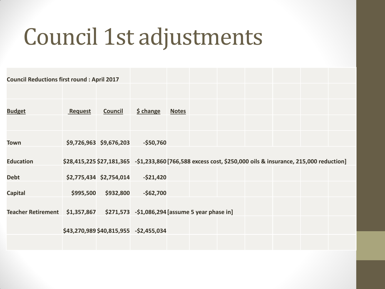# Council 1st adjustments

| <b>Council Reductions first round: April 2017</b> |                |                         |                                                                                                              |              |  |  |  |
|---------------------------------------------------|----------------|-------------------------|--------------------------------------------------------------------------------------------------------------|--------------|--|--|--|
|                                                   |                |                         |                                                                                                              |              |  |  |  |
| <b>Budget</b>                                     | <b>Request</b> | <b>Council</b>          | \$ change                                                                                                    | <b>Notes</b> |  |  |  |
|                                                   |                |                         |                                                                                                              |              |  |  |  |
| Town                                              |                | \$9,726,963 \$9,676,203 | $-$50,760$                                                                                                   |              |  |  |  |
| <b>Education</b>                                  |                |                         | \$28,415,225 \$27,181,365 - \$1,233,860 [766,588 excess cost, \$250,000 oils & insurance, 215,000 reduction] |              |  |  |  |
| <b>Debt</b>                                       |                | \$2,775,434 \$2,754,014 | $-$ \$21,420                                                                                                 |              |  |  |  |
| <b>Capital</b>                                    | \$995,500      | \$932,800               | $-$62,700$                                                                                                   |              |  |  |  |
|                                                   |                |                         |                                                                                                              |              |  |  |  |
|                                                   |                |                         | \$43,270,989 \$40,815,955 -\$2,455,034                                                                       |              |  |  |  |
|                                                   |                |                         |                                                                                                              |              |  |  |  |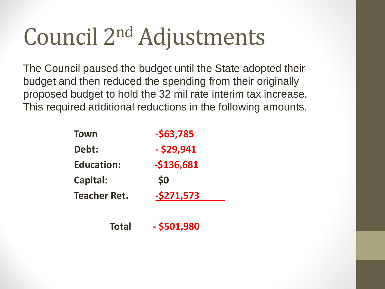# Council 2nd Adjustments

The Council paused the budget until the State adopted their budget and then reduced the spending from their originally proposed budget to hold the 32 mil rate interim tax increase. This required additional reductions in the following amounts.

| <b>Town</b>         | $-563,785$   |
|---------------------|--------------|
| Debt:               | $-$ \$29,941 |
| <b>Education:</b>   | $-$136,681$  |
| <b>Capital:</b>     | \$0          |
| <b>Teacher Ret.</b> | $-5271,573$  |
|                     |              |
| <b>Total</b>        | - \$501,980  |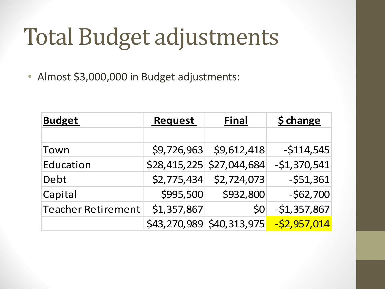# Total Budget adjustments

• Almost \$3,000,000 in Budget adjustments:

| <b>Budget</b>             | <b>Request</b> | <b>Final</b>                | <b>\$ change</b> |  |
|---------------------------|----------------|-----------------------------|------------------|--|
|                           |                |                             |                  |  |
| Town                      | \$9,726,963    | \$9,612,418                 | $-5114,545$      |  |
| Education                 |                | $$28,415,225$ $$27,044,684$ | $-51,370,541$    |  |
| Debt                      | \$2,775,434    | \$2,724,073                 | $-551,361$       |  |
| Capital                   | \$995,500      | \$932,800                   | $-562,700$       |  |
| <b>Teacher Retirement</b> | \$1,357,867    | \$0                         | $-$1,357,867$    |  |
|                           |                | \$43,270,989 \$40,313,975   | $-52,957,014$    |  |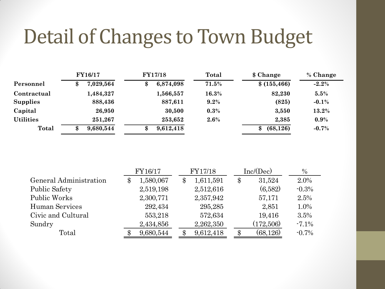### Detail of Changes to Town Budget

|                  | <b>FY16/17</b>  | <b>FY17/18</b>  | Total   | \$ Change       | % Change |
|------------------|-----------------|-----------------|---------|-----------------|----------|
| Personnel        | 7,029,564<br>\$ | 6,874,098<br>\$ | 71.5%   | \$(155, 466)    | $-2.2\%$ |
| Contractual      | 1,484,327       | 1,566,557       | 16.3%   | 82,230          | 5.5%     |
| <b>Supplies</b>  | 888,436         | 887,611         | $9.2\%$ | (825)           | $-0.1%$  |
| Capital          | 26,950          | 30,500          | $0.3\%$ | 3,550           | 13.2%    |
| <b>Utilities</b> | 251,267         | 253,652         | $2.6\%$ | 2,385           | 0.9%     |
| Total            | 9,680,544<br>\$ | 9,612,418<br>\$ |         | (68, 126)<br>\$ | $-0.7%$  |

|                        | FY16/17         | FY17/18         | Inc/(Dec)                  | $\%$     |
|------------------------|-----------------|-----------------|----------------------------|----------|
| General Administration | 1,580,067<br>\$ | 1,611,591<br>\$ | $\$\$<br>31,524            | 2.0%     |
| <b>Public Safety</b>   | 2,519,198       | 2,512,616       | (6,582)                    | $-0.3%$  |
| Public Works           | 2,300,771       | 2,357,942       | 57,171                     | 2.5%     |
| Human Services         | 292,434         | 295,285         | 2,851                      | 1.0%     |
| Civic and Cultural     | 553,218         | 572,634         | 19,416                     | 3.5%     |
| Sundry                 | 2,434,856       | 2,262,350       | (172,506)                  | $-7.1\%$ |
| Total                  | 9,680,544       | 9,612,418       | (68, 126)<br>$\mathbf{\$}$ | $-0.7\%$ |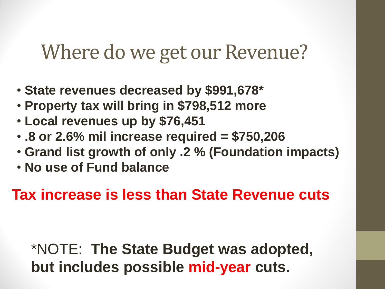#### Where do we get our Revenue?

- **State revenues decreased by \$991,678\***
- **Property tax will bring in \$798,512 more**
- **Local revenues up by \$76,451**
- **.8 or 2.6% mil increase required = \$750,206**
- **Grand list growth of only .2 % (Foundation impacts)**
- **No use of Fund balance**

**Tax increase is less than State Revenue cuts**

\*NOTE: **The State Budget was adopted, but includes possible mid-year cuts.**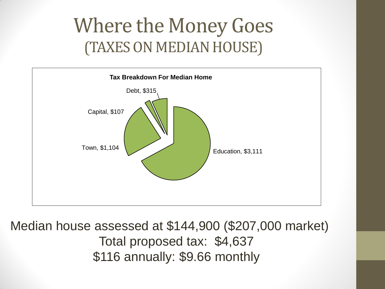### Where the Money Goes (TAXES ON MEDIAN HOUSE)



Median house assessed at \$144,900 (\$207,000 market) Total proposed tax: \$4,637 \$116 annually: \$9.66 monthly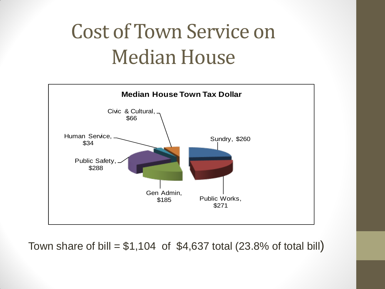## Cost of Town Service on Median House



Town share of bill =  $$1,104$  of  $$4,637$  total (23.8% of total bill)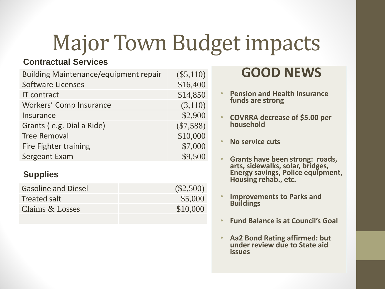# Major Town Budget impacts

#### **Contractual Services**

| <b>Building Maintenance/equipment repair</b> | $(\$5,110)$ |
|----------------------------------------------|-------------|
| <b>Software Licenses</b>                     | \$16,400    |
| <b>IT</b> contract                           | \$14,850    |
| Workers' Comp Insurance                      | (3,110)     |
| Insurance                                    | \$2,900     |
| Grants (e.g. Dial a Ride)                    | $(\$7,588)$ |
| <b>Tree Removal</b>                          | \$10,000    |
| Fire Fighter training                        | \$7,000     |
| Sergeant Exam                                | \$9,500     |
| <b>Supplies</b>                              |             |
| <b>Gasoline and Diesel</b>                   | (S2,5)      |
|                                              |             |

| Gasoline and Diesel | (2,500)  |
|---------------------|----------|
| Treated salt        | \$5,000  |
| Claims & Losses     | \$10,000 |
|                     |          |

#### **GOOD NEWS**

- **Pension and Health Insurance funds are strong**
- **COVRRA decrease of \$5.00 per household**
- **No service cuts**
- **Grants have been strong: roads, arts, sidewalks, solar, bridges, Energy savings, Police equipment, Housing rehab., etc.**
- **Improvements to Parks and Buildings**
- **Fund Balance is at Council's Goal**
- **Aa2 Bond Rating affirmed: but under review due to State aid issues**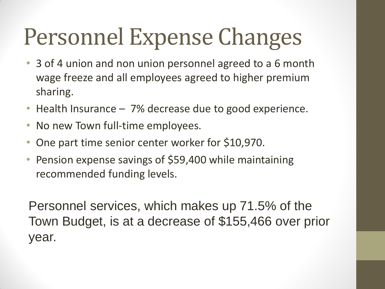# Personnel Expense Changes

- 3 of 4 union and non union personnel agreed to a 6 month wage freeze and all employees agreed to higher premium sharing.
- Health Insurance 7% decrease due to good experience.
- No new Town full-time employees.
- One part time senior center worker for \$10,970.
- Pension expense savings of \$59,400 while maintaining recommended funding levels.

Personnel services, which makes up 71.5% of the Town Budget, is at a decrease of \$155,466 over prior year.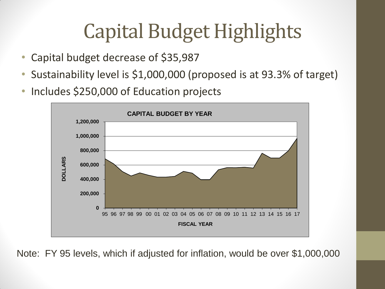## Capital Budget Highlights

- Capital budget decrease of \$35,987
- Sustainability level is \$1,000,000 (proposed is at 93.3% of target)
- Includes \$250,000 of Education projects



Note: FY 95 levels, which if adjusted for inflation, would be over \$1,000,000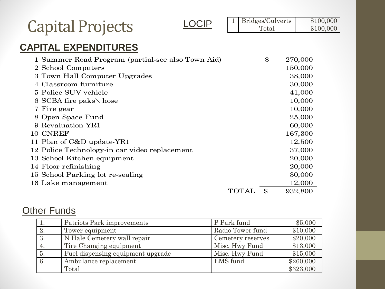|                                                                                                                                                                                                                                                                                                                                         | CIP |              | Bridges/Culverts |  | \$100,000                                                                                                               |
|-----------------------------------------------------------------------------------------------------------------------------------------------------------------------------------------------------------------------------------------------------------------------------------------------------------------------------------------|-----|--------------|------------------|--|-------------------------------------------------------------------------------------------------------------------------|
| <b>Capital Projects</b>                                                                                                                                                                                                                                                                                                                 |     |              | Total            |  | \$100,000                                                                                                               |
| <b>CAPITAL EXPENDITURES</b>                                                                                                                                                                                                                                                                                                             |     |              |                  |  |                                                                                                                         |
| 1 Summer Road Program (partial-see also Town Aid)<br>2 School Computers<br>3 Town Hall Computer Upgrades<br>4 Classroom furniture<br>5 Police SUV vehicle<br>6 SCBA fire paks \ hose<br>7 Fire gear<br>8 Open Space Fund<br>9 Revaluation YR1<br>10 CNREF<br>11 Plan of C&D update-YR1<br>12 Police Technology-in car video replacement |     |              | \$               |  | 270,000<br>150,000<br>38,000<br>30,000<br>41,000<br>10,000<br>10,000<br>25,000<br>60,000<br>167,300<br>12,500<br>37,000 |
| 13 School Kitchen equipment<br>14 Floor refinishing<br>15 School Parking lot re-sealing                                                                                                                                                                                                                                                 |     |              |                  |  | 20,000<br>20,000<br>30,000                                                                                              |
| 16 Lake management                                                                                                                                                                                                                                                                                                                      |     | <b>TOTAL</b> | $\$\$            |  | 12,000<br>932,800                                                                                                       |

#### **Other Funds**

|    | Patriots Park improvements        | P Park fund       | \$5,000   |
|----|-----------------------------------|-------------------|-----------|
| 2. | Tower equipment                   | Radio Tower fund  | \$10,000  |
| 3. | N Hale Cemetery wall repair       | Cemetery reserves | \$20,000  |
| 4. | Tire Changing equipment           | Misc. Hwy Fund    | \$13,000  |
| 5. | Fuel dispensing equipment upgrade | Misc. Hwy Fund    | \$15,000  |
| 6. | Ambulance replacement             | EMS fund          | \$260,000 |
|    | Total                             |                   | \$323,000 |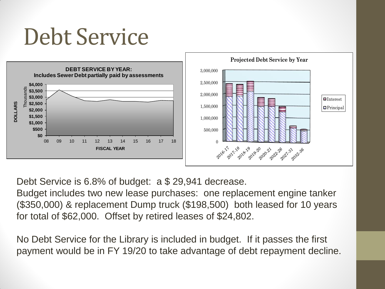## Debt Service



Debt Service is 6.8% of budget: a \$ 29,941 decrease.

Budget includes two new lease purchases: one replacement engine tanker (\$350,000) & replacement Dump truck (\$198,500) both leased for 10 years for total of \$62,000. Offset by retired leases of \$24,802.

No Debt Service for the Library is included in budget. If it passes the first payment would be in FY 19/20 to take advantage of debt repayment decline.